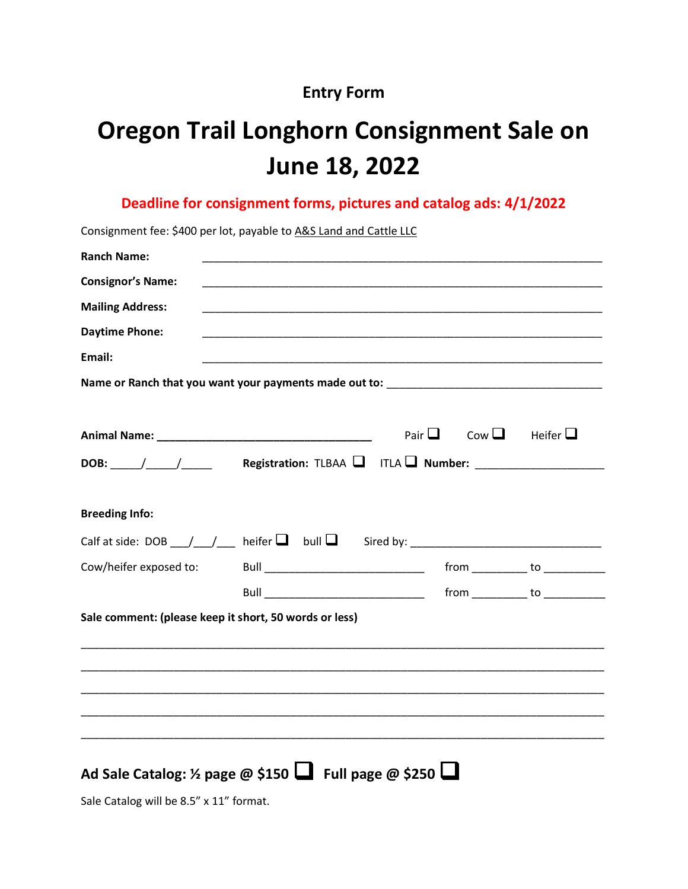## **Entry Form**

# **Oregon Trail Longhorn Consignment Sale on June 18, 2022**

## **Deadline for consignment forms, pictures and catalog ads: 4/1/2022**

| Consignment fee: \$400 per lot, payable to A&S Land and Cattle LLC                                                                                                                                                                                                                                                                                                                                                  |                                                                                                                       |  |                                      |
|---------------------------------------------------------------------------------------------------------------------------------------------------------------------------------------------------------------------------------------------------------------------------------------------------------------------------------------------------------------------------------------------------------------------|-----------------------------------------------------------------------------------------------------------------------|--|--------------------------------------|
| <b>Ranch Name:</b>                                                                                                                                                                                                                                                                                                                                                                                                  |                                                                                                                       |  |                                      |
| <b>Consignor's Name:</b>                                                                                                                                                                                                                                                                                                                                                                                            |                                                                                                                       |  |                                      |
| <b>Mailing Address:</b>                                                                                                                                                                                                                                                                                                                                                                                             | <u> 1989 - Johann Stoff, amerikansk politiker (d. 1989)</u>                                                           |  |                                      |
| <b>Daytime Phone:</b>                                                                                                                                                                                                                                                                                                                                                                                               |                                                                                                                       |  |                                      |
| Email:                                                                                                                                                                                                                                                                                                                                                                                                              | <u> 1989 - Johann Stoff, deutscher Stoff, der Stoff, der Stoff, der Stoff, der Stoff, der Stoff, der Stoff, der S</u> |  |                                      |
|                                                                                                                                                                                                                                                                                                                                                                                                                     |                                                                                                                       |  |                                      |
|                                                                                                                                                                                                                                                                                                                                                                                                                     |                                                                                                                       |  |                                      |
|                                                                                                                                                                                                                                                                                                                                                                                                                     |                                                                                                                       |  | Pair $\Box$ Cow $\Box$ Heifer $\Box$ |
| DOB: $\frac{1}{\sqrt{1-\frac{1}{1-\frac{1}{1-\frac{1}{1-\frac{1}{1-\frac{1}{1-\frac{1}{1-\frac{1}{1-\frac{1}{1-\frac{1}{1-\frac{1}{1-\frac{1}{1-\frac{1}{1-\frac{1}{1-\frac{1}{1-\frac{1}{1-\frac{1}{1-\frac{1}{1-\frac{1}{1-\frac{1}{1-\frac{1}{1-\frac{1}{1-\frac{1}{1-\frac{1}{1-\frac{1}{1-\frac{1}{1-\frac{1}{1-\frac{1}{1-\frac{1}{1-\frac{1}{1-\frac{1}{1-\frac{1}{1-\frac{1}{1-\frac{1}{1-\frac{1}{1-\frac$ |                                                                                                                       |  |                                      |
|                                                                                                                                                                                                                                                                                                                                                                                                                     |                                                                                                                       |  |                                      |
| <b>Breeding Info:</b>                                                                                                                                                                                                                                                                                                                                                                                               |                                                                                                                       |  |                                      |
|                                                                                                                                                                                                                                                                                                                                                                                                                     |                                                                                                                       |  |                                      |
| Calf at side: DOB $\frac{1}{\frac{1}{\sqrt{1-\frac{1}{\sqrt{1-\frac{1}{\sqrt{1-\frac{1}{\sqrt{1-\frac{1}{\sqrt{1-\frac{1}{\sqrt{1-\frac{1}{\sqrt{1-\frac{1}{\sqrt{1-\frac{1}{\sqrt{1-\frac{1}{\sqrt{1-\frac{1}{\sqrt{1-\frac{1}{\sqrt{1-\frac{1}{\sqrt{1-\frac{1}{\sqrt{1-\frac{1}{\sqrt{1-\frac{1}{\sqrt{1-\frac{1}{\sqrt{1-\frac{1}{\sqrt{1-\frac{1}{\sqrt{1-\frac{1}{\sqrt{1-\frac{1}{\sqrt{1-\frac{1}{\sqrt{$   |                                                                                                                       |  |                                      |
|                                                                                                                                                                                                                                                                                                                                                                                                                     |                                                                                                                       |  |                                      |
|                                                                                                                                                                                                                                                                                                                                                                                                                     |                                                                                                                       |  |                                      |
| Sale comment: (please keep it short, 50 words or less)                                                                                                                                                                                                                                                                                                                                                              |                                                                                                                       |  |                                      |
|                                                                                                                                                                                                                                                                                                                                                                                                                     |                                                                                                                       |  |                                      |
|                                                                                                                                                                                                                                                                                                                                                                                                                     |                                                                                                                       |  |                                      |
|                                                                                                                                                                                                                                                                                                                                                                                                                     | ,我们也不能在这里的时候,我们也不能在这里的时候,我们也不能会在这里的时候,我们也不能会在这里的时候,我们也不能会在这里的时候,我们也不能会在这里的时候,我们也不                                     |  |                                      |
|                                                                                                                                                                                                                                                                                                                                                                                                                     |                                                                                                                       |  |                                      |
|                                                                                                                                                                                                                                                                                                                                                                                                                     |                                                                                                                       |  |                                      |
|                                                                                                                                                                                                                                                                                                                                                                                                                     |                                                                                                                       |  |                                      |
| Ad Sale Catalog: $\frac{1}{2}$ page @ \$150 $\Box$ Full page @ \$250 $\Box$                                                                                                                                                                                                                                                                                                                                         |                                                                                                                       |  |                                      |

Sale Catalog will be 8.5" x 11" format.